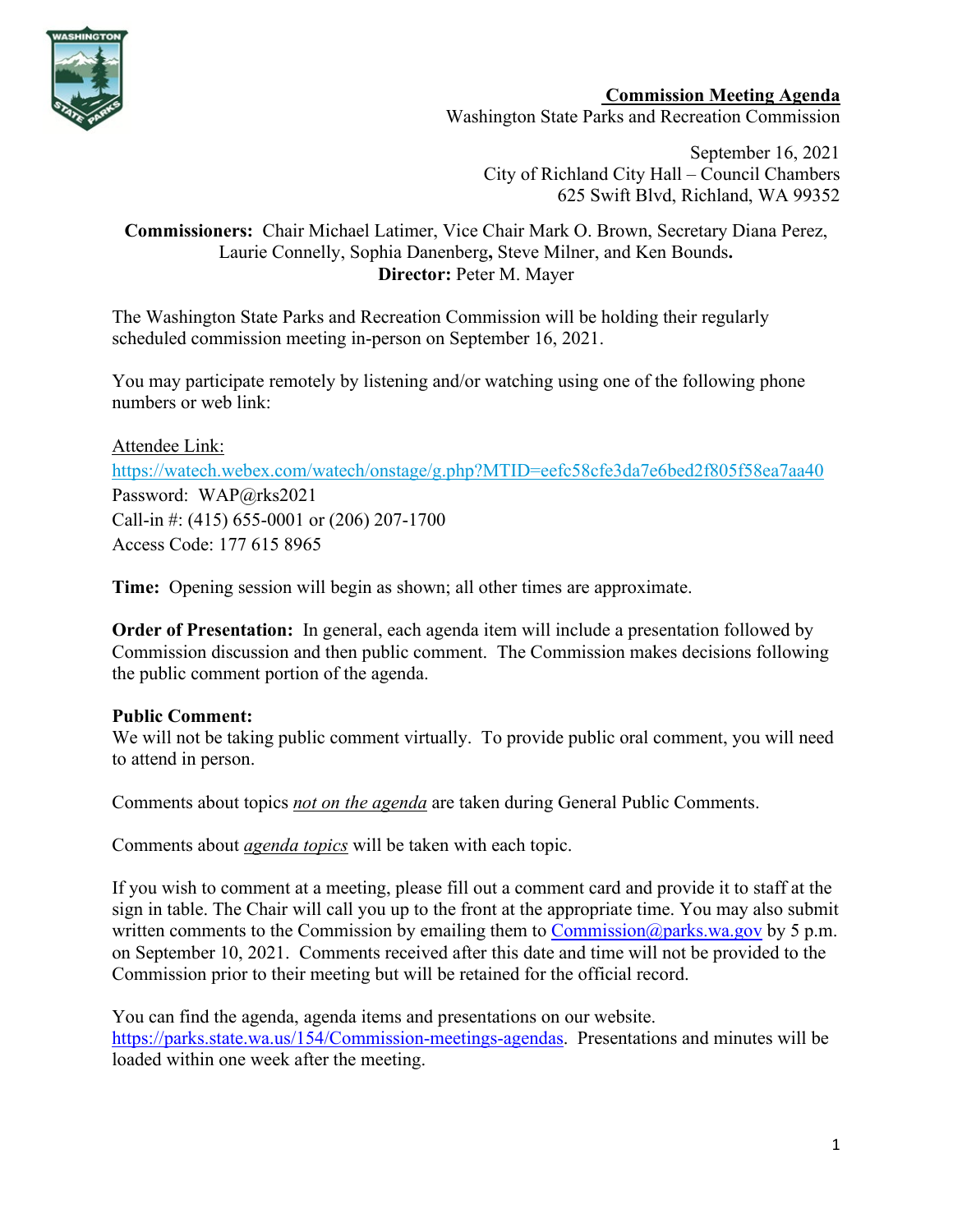

**Commission Meeting Agenda** Washington State Parks and Recreation Commission

September 16, 2021 City of Richland City Hall – Council Chambers [625 Swift Blvd, Richland, WA 99352](https://www.bing.com/local?lid=YN937x16025719&id=YN937x16025719&q=Richland+City+Hall&name=Richland+City+Hall&cp=46.27971267700195%7e-119.27444458007812&ppois=46.27971267700195_-119.27444458007812_Richland+City+Hall)

### **Commissioners:** Chair Michael Latimer, Vice Chair Mark O. Brown, Secretary Diana Perez, Laurie Connelly, Sophia Danenberg**,** Steve Milner, and Ken Bounds**. Director:** Peter M. Mayer

The Washington State Parks and Recreation Commission will be holding their regularly scheduled commission meeting in-person on September 16, 2021.

You may participate remotely by listening and/or watching using one of the following phone numbers or web link:

Attendee Link: <https://watech.webex.com/watech/onstage/g.php?MTID=eefc58cfe3da7e6bed2f805f58ea7aa40> Password: WAP@rks2021 Call-in #: (415) 655-0001 or (206) 207-1700 Access Code: 177 615 8965

**Time:** Opening session will begin as shown; all other times are approximate.

**Order of Presentation:** In general, each agenda item will include a presentation followed by Commission discussion and then public comment. The Commission makes decisions following the public comment portion of the agenda.

# **Public Comment:**

We will not be taking public comment virtually. To provide public oral comment, you will need to attend in person.

Comments about topics *not on the agenda* are taken during General Public Comments.

Comments about *agenda topics* will be taken with each topic.

If you wish to comment at a meeting, please fill out a comment card and provide it to staff at the sign in table. The Chair will call you up to the front at the appropriate time. You may also submit written comments to the Commission by emailing them to Commission  $@parks.wa.gov$  by 5 p.m. on September 10, 2021. Comments received after this date and time will not be provided to the Commission prior to their meeting but will be retained for the official record.

You can find the agenda, agenda items and presentations on our website. [https://parks.state.wa.us/154/Commission-meetings-agendas.](https://parks.state.wa.us/154/Commission-meetings-agendas) Presentations and minutes will be loaded within one week after the meeting.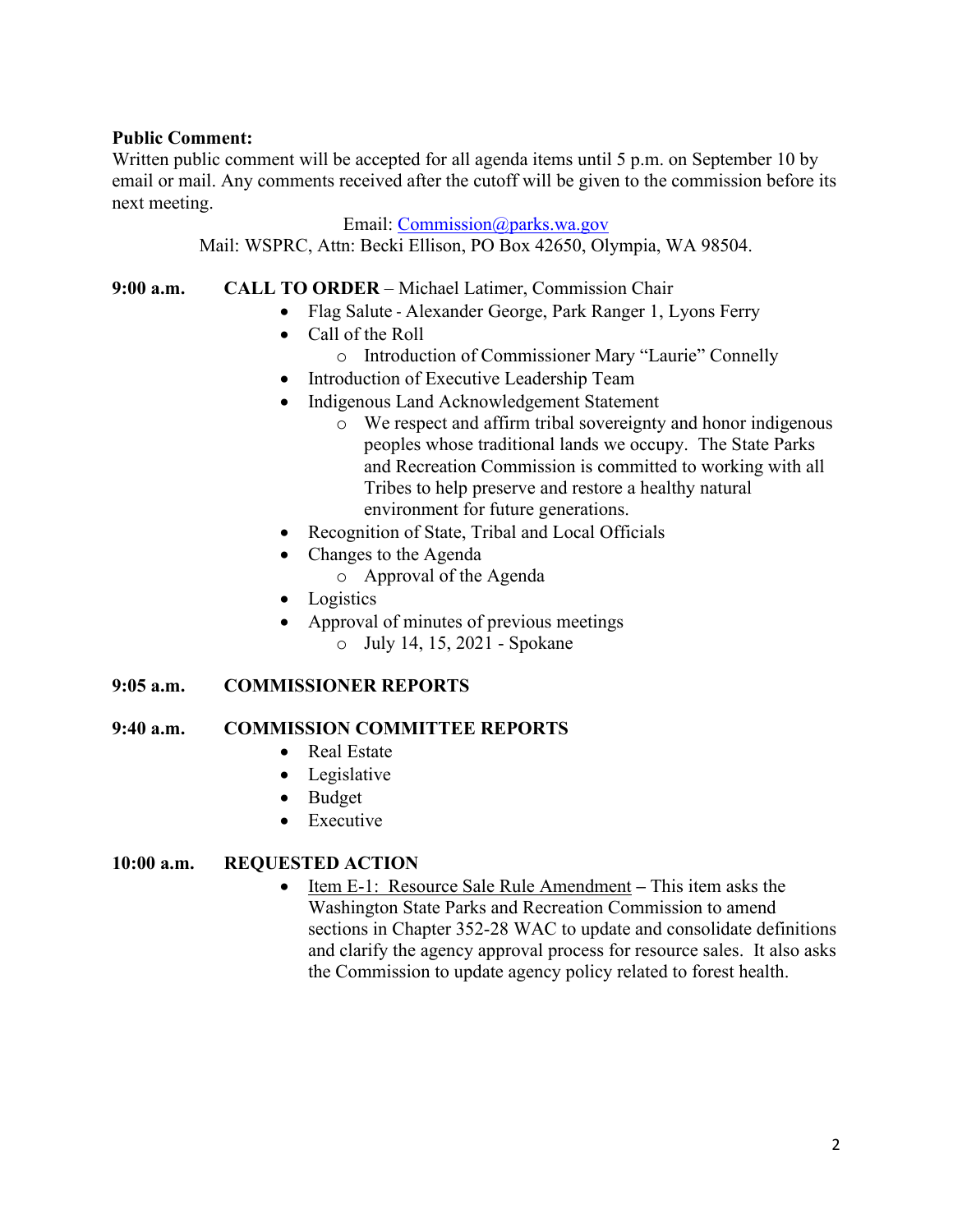#### **Public Comment:**

Written public comment will be accepted for all agenda items until 5 p.m. on September 10 by email or mail. Any comments received after the cutoff will be given to the commission before its next meeting.

Email: [Commission@parks.wa.gov](mailto:Commission@parks.wa.gov)

Mail: WSPRC, Attn: Becki Ellison, PO Box 42650, Olympia, WA 98504.

**9:00 a.m. CALL TO ORDER** – Michael Latimer, Commission Chair

- Flag Salute Alexander George, Park Ranger 1, Lyons Ferry
- Call of the Roll
	- o Introduction of Commissioner Mary "Laurie" Connelly
- Introduction of Executive Leadership Team
- Indigenous Land Acknowledgement Statement
	- o We respect and affirm tribal sovereignty and honor indigenous peoples whose traditional lands we occupy. The State Parks and Recreation Commission is committed to working with all Tribes to help preserve and restore a healthy natural environment for future generations.
- Recognition of State, Tribal and Local Officials
- Changes to the Agenda
	- o Approval of the Agenda
- Logistics
- Approval of minutes of previous meetings o July 14, 15, 2021 - Spokane

# **9:05 a.m. COMMISSIONER REPORTS**

# **9:40 a.m. COMMISSION COMMITTEE REPORTS**

- Real Estate
- Legislative
- Budget
- Executive

# **10:00 a.m. REQUESTED ACTION**

• Item E-1: Resource Sale Rule Amendment **–** This item asks the Washington State Parks and Recreation Commission to amend sections in Chapter 352-28 WAC to update and consolidate definitions and clarify the agency approval process for resource sales. It also asks the Commission to update agency policy related to forest health.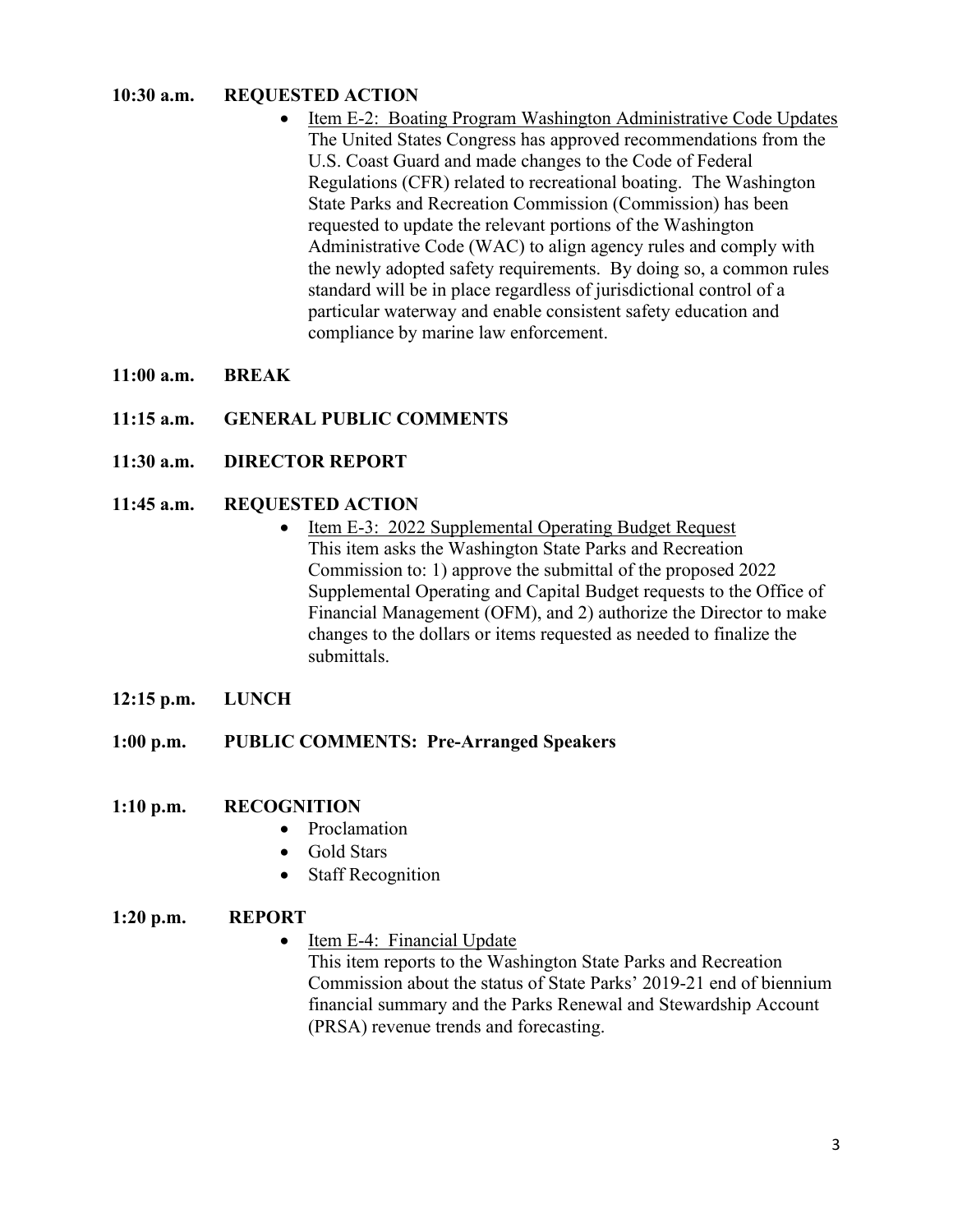### **10:30 a.m. REQUESTED ACTION**

- Item E-2: Boating Program Washington Administrative Code Updates The United States Congress has approved recommendations from the U.S. Coast Guard and made changes to the Code of Federal Regulations (CFR) related to recreational boating. The Washington State Parks and Recreation Commission (Commission) has been requested to update the relevant portions of the Washington Administrative Code (WAC) to align agency rules and comply with the newly adopted safety requirements. By doing so, a common rules standard will be in place regardless of jurisdictional control of a particular waterway and enable consistent safety education and compliance by marine law enforcement.
- **11:00 a.m. BREAK**
- **11:15 a.m. GENERAL PUBLIC COMMENTS**
- **11:30 a.m. DIRECTOR REPORT**

### **11:45 a.m. REQUESTED ACTION**

- Item E-3: 2022 Supplemental Operating Budget Request This item asks the Washington State Parks and Recreation Commission to: 1) approve the submittal of the proposed 2022 Supplemental Operating and Capital Budget requests to the Office of Financial Management (OFM), and 2) authorize the Director to make changes to the dollars or items requested as needed to finalize the submittals.
- **12:15 p.m. LUNCH**
- **1:00 p.m. PUBLIC COMMENTS: Pre-Arranged Speakers**
- **1:10 p.m. RECOGNITION**
	- Proclamation
	- Gold Stars
	- Staff Recognition

#### **1:20 p.m. REPORT**

• Item E-4: Financial Update

This item reports to the Washington State Parks and Recreation Commission about the status of State Parks' 2019-21 end of biennium financial summary and the Parks Renewal and Stewardship Account (PRSA) revenue trends and forecasting.